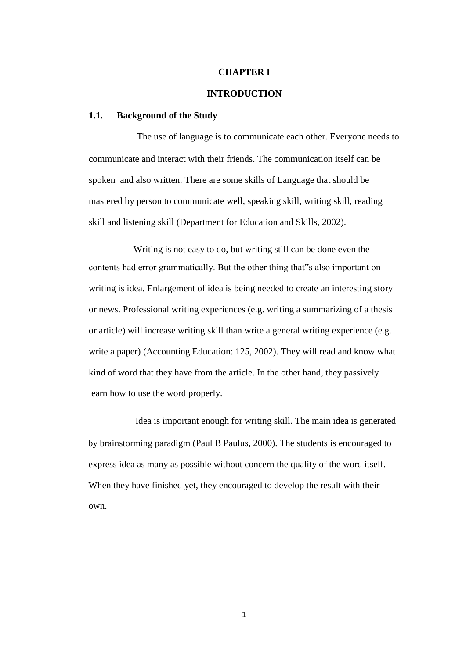## **CHAPTER I**

# **INTRODUCTION**

## **1.1. Background of the Study**

The use of language is to communicate each other. Everyone needs to communicate and interact with their friends. The communication itself can be spoken and also written. There are some skills of Language that should be mastered by person to communicate well, speaking skill, writing skill, reading skill and listening skill (Department for Education and Skills, 2002).

Writing is not easy to do, but writing still can be done even the contents had error grammatically. But the other thing that"s also important on writing is idea. Enlargement of idea is being needed to create an interesting story or news. Professional writing experiences (e.g. writing a summarizing of a thesis or article) will increase writing skill than write a general writing experience (e.g. write a paper) (Accounting Education: 125, 2002). They will read and know what kind of word that they have from the article. In the other hand, they passively learn how to use the word properly.

Idea is important enough for writing skill. The main idea is generated by brainstorming paradigm (Paul B Paulus, 2000). The students is encouraged to express idea as many as possible without concern the quality of the word itself. When they have finished yet, they encouraged to develop the result with their own.

1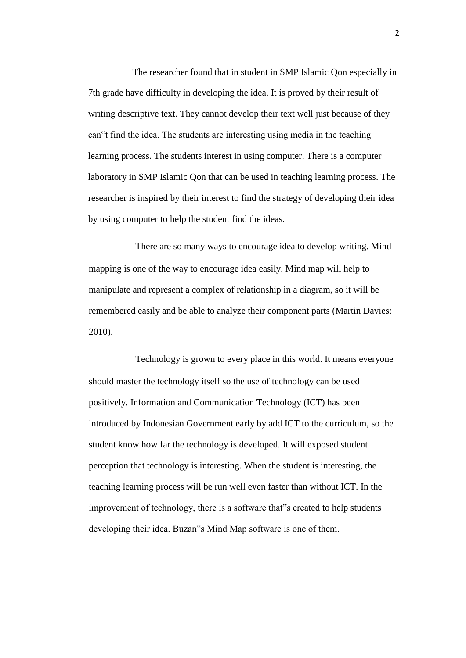The researcher found that in student in SMP Islamic Qon especially in 7th grade have difficulty in developing the idea. It is proved by their result of writing descriptive text. They cannot develop their text well just because of they can"t find the idea. The students are interesting using media in the teaching learning process. The students interest in using computer. There is a computer laboratory in SMP Islamic Qon that can be used in teaching learning process. The researcher is inspired by their interest to find the strategy of developing their idea by using computer to help the student find the ideas.

There are so many ways to encourage idea to develop writing. Mind mapping is one of the way to encourage idea easily. Mind map will help to manipulate and represent a complex of relationship in a diagram, so it will be remembered easily and be able to analyze their component parts (Martin Davies: 2010).

Technology is grown to every place in this world. It means everyone should master the technology itself so the use of technology can be used positively. Information and Communication Technology (ICT) has been introduced by Indonesian Government early by add ICT to the curriculum, so the student know how far the technology is developed. It will exposed student perception that technology is interesting. When the student is interesting, the teaching learning process will be run well even faster than without ICT. In the improvement of technology, there is a software that"s created to help students developing their idea. Buzan"s Mind Map software is one of them.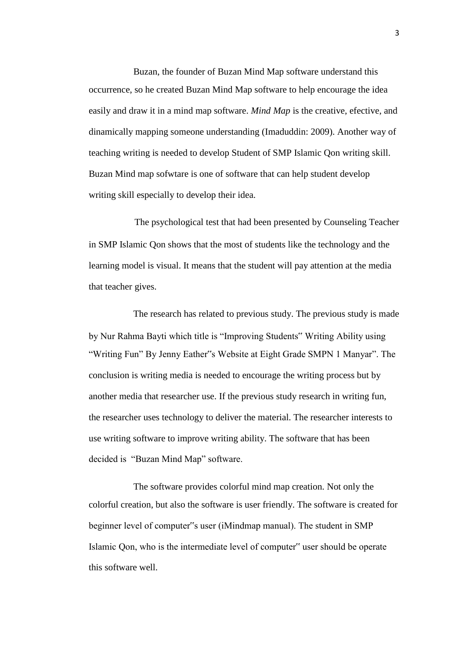Buzan, the founder of Buzan Mind Map software understand this occurrence, so he created Buzan Mind Map software to help encourage the idea easily and draw it in a mind map software. *Mind Map* is the creative, efective, and dinamically mapping someone understanding (Imaduddin: 2009). Another way of teaching writing is needed to develop Student of SMP Islamic Qon writing skill. Buzan Mind map sofwtare is one of software that can help student develop writing skill especially to develop their idea.

The psychological test that had been presented by Counseling Teacher in SMP Islamic Qon shows that the most of students like the technology and the learning model is visual. It means that the student will pay attention at the media that teacher gives.

The research has related to previous study. The previous study is made by Nur Rahma Bayti which title is "Improving Students" Writing Ability using "Writing Fun" By Jenny Eather"s Website at Eight Grade SMPN 1 Manyar". The conclusion is writing media is needed to encourage the writing process but by another media that researcher use. If the previous study research in writing fun, the researcher uses technology to deliver the material. The researcher interests to use writing software to improve writing ability. The software that has been decided is "Buzan Mind Map" software.

The software provides colorful mind map creation. Not only the colorful creation, but also the software is user friendly. The software is created for beginner level of computer"s user (iMindmap manual). The student in SMP Islamic Qon, who is the intermediate level of computer" user should be operate this software well.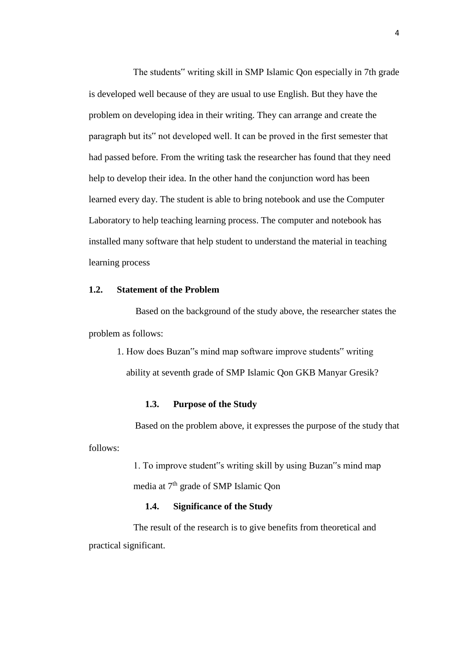The students" writing skill in SMP Islamic Qon especially in 7th grade is developed well because of they are usual to use English. But they have the problem on developing idea in their writing. They can arrange and create the paragraph but its" not developed well. It can be proved in the first semester that had passed before. From the writing task the researcher has found that they need help to develop their idea. In the other hand the conjunction word has been learned every day. The student is able to bring notebook and use the Computer Laboratory to help teaching learning process. The computer and notebook has installed many software that help student to understand the material in teaching learning process

# **1.2. Statement of the Problem**

Based on the background of the study above, the researcher states the problem as follows:

1. How does Buzan"s mind map software improve students" writing ability at seventh grade of SMP Islamic Qon GKB Manyar Gresik?

#### **1.3. Purpose of the Study**

Based on the problem above, it expresses the purpose of the study that follows:

> 1. To improve student"s writing skill by using Buzan"s mind map media at 7th grade of SMP Islamic Qon

## **1.4. Significance of the Study**

The result of the research is to give benefits from theoretical and practical significant.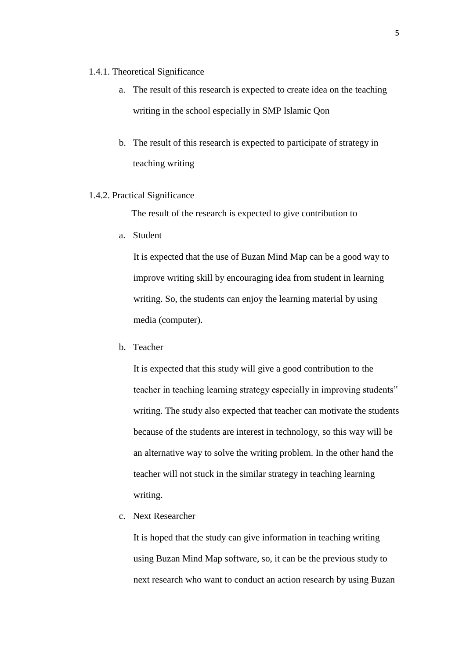#### 1.4.1. Theoretical Significance

- a. The result of this research is expected to create idea on the teaching writing in the school especially in SMP Islamic Qon
- b. The result of this research is expected to participate of strategy in teaching writing

# 1.4.2. Practical Significance

The result of the research is expected to give contribution to

a. Student

It is expected that the use of Buzan Mind Map can be a good way to improve writing skill by encouraging idea from student in learning writing. So, the students can enjoy the learning material by using media (computer).

b. Teacher

It is expected that this study will give a good contribution to the teacher in teaching learning strategy especially in improving students" writing. The study also expected that teacher can motivate the students because of the students are interest in technology, so this way will be an alternative way to solve the writing problem. In the other hand the teacher will not stuck in the similar strategy in teaching learning writing.

c. Next Researcher

It is hoped that the study can give information in teaching writing using Buzan Mind Map software, so, it can be the previous study to next research who want to conduct an action research by using Buzan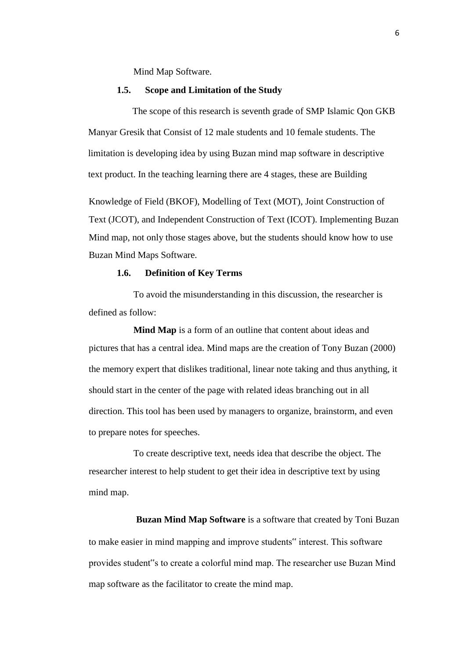Mind Map Software.

#### **1.5. Scope and Limitation of the Study**

The scope of this research is seventh grade of SMP Islamic Qon GKB Manyar Gresik that Consist of 12 male students and 10 female students. The limitation is developing idea by using Buzan mind map software in descriptive text product. In the teaching learning there are 4 stages, these are Building

Knowledge of Field (BKOF), Modelling of Text (MOT), Joint Construction of Text (JCOT), and Independent Construction of Text (ICOT). Implementing Buzan Mind map, not only those stages above, but the students should know how to use Buzan Mind Maps Software.

# **1.6. Definition of Key Terms**

To avoid the misunderstanding in this discussion, the researcher is defined as follow:

**Mind Map** is a form of an outline that content about ideas and pictures that has a central idea. Mind maps are the creation of Tony Buzan (2000) the memory expert that dislikes traditional, linear note taking and thus anything, it should start in the center of the page with related ideas branching out in all direction. This tool has been used by managers to organize, brainstorm, and even to prepare notes for speeches.

To create descriptive text, needs idea that describe the object. The researcher interest to help student to get their idea in descriptive text by using mind map.

**Buzan Mind Map Software** is a software that created by Toni Buzan to make easier in mind mapping and improve students" interest. This software provides student"s to create a colorful mind map. The researcher use Buzan Mind map software as the facilitator to create the mind map.